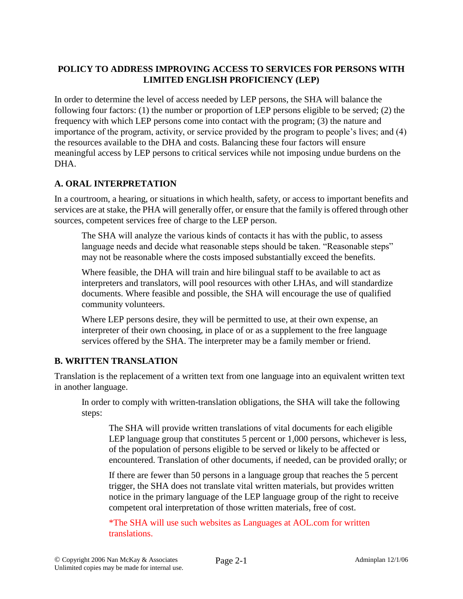## **POLICY TO ADDRESS IMPROVING ACCESS TO SERVICES FOR PERSONS WITH LIMITED ENGLISH PROFICIENCY (LEP)**

In order to determine the level of access needed by LEP persons, the SHA will balance the following four factors: (1) the number or proportion of LEP persons eligible to be served; (2) the frequency with which LEP persons come into contact with the program; (3) the nature and importance of the program, activity, or service provided by the program to people's lives; and (4) the resources available to the DHA and costs. Balancing these four factors will ensure meaningful access by LEP persons to critical services while not imposing undue burdens on the DHA.

## **A. ORAL INTERPRETATION**

In a courtroom, a hearing, or situations in which health, safety, or access to important benefits and services are at stake, the PHA will generally offer, or ensure that the family is offered through other sources, competent services free of charge to the LEP person.

The SHA will analyze the various kinds of contacts it has with the public, to assess language needs and decide what reasonable steps should be taken. "Reasonable steps" may not be reasonable where the costs imposed substantially exceed the benefits.

Where feasible, the DHA will train and hire bilingual staff to be available to act as interpreters and translators, will pool resources with other LHAs, and will standardize documents. Where feasible and possible, the SHA will encourage the use of qualified community volunteers.

Where LEP persons desire, they will be permitted to use, at their own expense, an interpreter of their own choosing, in place of or as a supplement to the free language services offered by the SHA. The interpreter may be a family member or friend.

## **B. WRITTEN TRANSLATION**

Translation is the replacement of a written text from one language into an equivalent written text in another language.

In order to comply with written-translation obligations, the SHA will take the following steps:

The SHA will provide written translations of vital documents for each eligible LEP language group that constitutes 5 percent or 1,000 persons, whichever is less, of the population of persons eligible to be served or likely to be affected or encountered. Translation of other documents, if needed, can be provided orally; or

If there are fewer than 50 persons in a language group that reaches the 5 percent trigger, the SHA does not translate vital written materials, but provides written notice in the primary language of the LEP language group of the right to receive competent oral interpretation of those written materials, free of cost.

\*The SHA will use such websites as Languages at AOL.com for written translations.